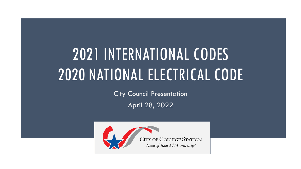# 2021 INTERNATIONAL CODES 2020 NATIONAL ELECTRICAL CODE

City Council Presentation

April 28, 2022

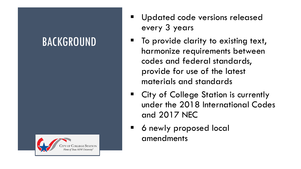### BACKGROUND



- **■** Updated code versions released every 3 years
- To provide clarity to existing text, harmonize requirements between codes and federal standards, provide for use of the latest materials and standards
- City of College Station is currently under the 2018 International Codes and 2017 NEC
- 6 newly proposed local amendments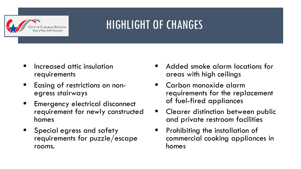

## HIGHLIGHT OF CHANGES

- Increased attic insulation requirements
- Easing of restrictions on nonegress stairways
- Emergency electrical disconnect requirement for newly constructed homes
- Special egress and safety requirements for puzzle/escape rooms.
- Added smoke alarm locations for areas with high ceilings
- Carbon monoxide alarm requirements for the replacement of fuel-fired appliances
- Clearer distinction between public and private restroom facilities
- Prohibiting the installation of commercial cooking appliances in homes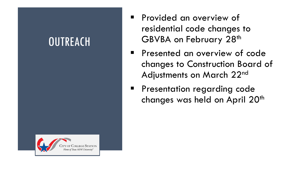#### **OUTREACH**



- **Provided an overview of** residential code changes to GBVBA on February 28th
- **•** Presented an overview of code changes to Construction Board of Adjustments on March 22nd
- **•** Presentation regarding code changes was held on April 20<sup>th</sup>